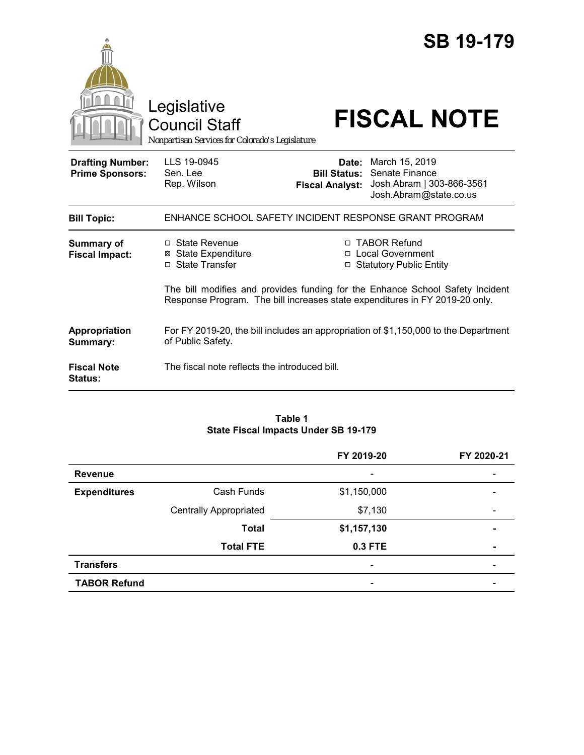|                                                   | Legislative                                                                                                                                                  |                                               | <b>SB 19-179</b>                                                                              |  |
|---------------------------------------------------|--------------------------------------------------------------------------------------------------------------------------------------------------------------|-----------------------------------------------|-----------------------------------------------------------------------------------------------|--|
|                                                   | <b>Council Staff</b><br>Nonpartisan Services for Colorado's Legislature                                                                                      |                                               | <b>FISCAL NOTE</b>                                                                            |  |
| <b>Drafting Number:</b><br><b>Prime Sponsors:</b> | LLS 19-0945<br>Sen. Lee<br>Rep. Wilson                                                                                                                       | <b>Bill Status:</b><br><b>Fiscal Analyst:</b> | Date: March 15, 2019<br>Senate Finance<br>Josh Abram   303-866-3561<br>Josh.Abram@state.co.us |  |
| <b>Bill Topic:</b>                                | ENHANCE SCHOOL SAFETY INCIDENT RESPONSE GRANT PROGRAM                                                                                                        |                                               |                                                                                               |  |
| <b>Summary of</b><br><b>Fiscal Impact:</b>        | □ State Revenue<br><b>⊠ State Expenditure</b><br>□ State Transfer                                                                                            |                                               | □ TABOR Refund<br>□ Local Government<br>□ Statutory Public Entity                             |  |
|                                                   | The bill modifies and provides funding for the Enhance School Safety Incident<br>Response Program. The bill increases state expenditures in FY 2019-20 only. |                                               |                                                                                               |  |
| Appropriation<br>Summary:                         | For FY 2019-20, the bill includes an appropriation of \$1,150,000 to the Department<br>of Public Safety.                                                     |                                               |                                                                                               |  |
| <b>Fiscal Note</b><br><b>Status:</b>              | The fiscal note reflects the introduced bill.                                                                                                                |                                               |                                                                                               |  |

#### **Table 1 State Fiscal Impacts Under SB 19-179**

|                     |                               | FY 2019-20               | FY 2020-21     |
|---------------------|-------------------------------|--------------------------|----------------|
| <b>Revenue</b>      |                               | $\overline{\phantom{a}}$ |                |
| <b>Expenditures</b> | Cash Funds                    | \$1,150,000              |                |
|                     | <b>Centrally Appropriated</b> | \$7,130                  |                |
|                     | <b>Total</b>                  | \$1,157,130              | -              |
|                     | <b>Total FTE</b>              | 0.3 FTE                  | $\blacksquare$ |
| <b>Transfers</b>    |                               | $\overline{\phantom{0}}$ |                |
| <b>TABOR Refund</b> |                               | $\overline{\phantom{0}}$ |                |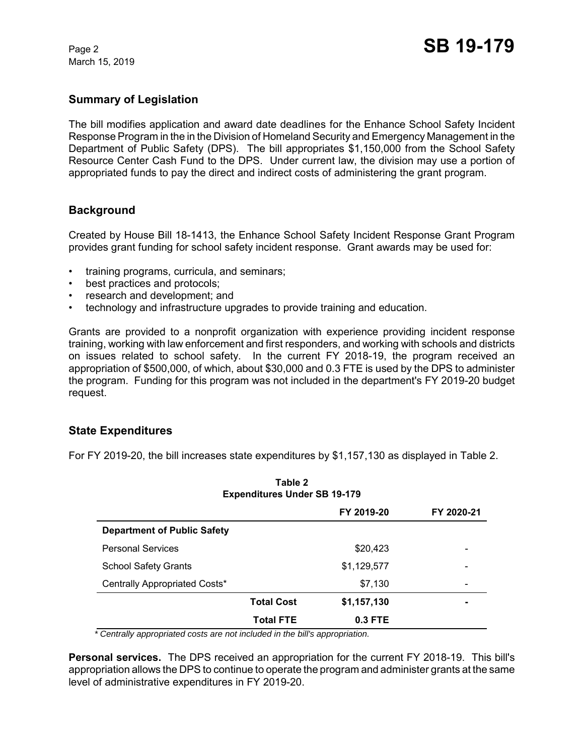March 15, 2019

# **Summary of Legislation**

The bill modifies application and award date deadlines for the Enhance School Safety Incident Response Program in the in the Division of Homeland Security and Emergency Management in the Department of Public Safety (DPS). The bill appropriates \$1,150,000 from the School Safety Resource Center Cash Fund to the DPS. Under current law, the division may use a portion of appropriated funds to pay the direct and indirect costs of administering the grant program.

# **Background**

Created by House Bill 18-1413, the Enhance School Safety Incident Response Grant Program provides grant funding for school safety incident response. Grant awards may be used for:

- training programs, curricula, and seminars;
- best practices and protocols;
- research and development; and
- technology and infrastructure upgrades to provide training and education.

Grants are provided to a nonprofit organization with experience providing incident response training, working with law enforcement and first responders, and working with schools and districts on issues related to school safety. In the current FY 2018-19, the program received an appropriation of \$500,000, of which, about \$30,000 and 0.3 FTE is used by the DPS to administer the program. Funding for this program was not included in the department's FY 2019-20 budget request.

### **State Expenditures**

For FY 2019-20, the bill increases state expenditures by \$1,157,130 as displayed in Table 2.

**Table 2**

| I UMIG A<br><b>Expenditures Under SB 19-179</b> |                   |             |            |  |  |
|-------------------------------------------------|-------------------|-------------|------------|--|--|
|                                                 |                   | FY 2019-20  | FY 2020-21 |  |  |
| <b>Department of Public Safety</b>              |                   |             |            |  |  |
| <b>Personal Services</b>                        |                   | \$20,423    |            |  |  |
| <b>School Safety Grants</b>                     |                   | \$1,129,577 |            |  |  |
| Centrally Appropriated Costs*                   |                   | \$7,130     |            |  |  |
|                                                 | <b>Total Cost</b> | \$1,157,130 |            |  |  |
|                                                 | <b>Total FTE</b>  | $0.3$ FTE   |            |  |  |

 *\* Centrally appropriated costs are not included in the bill's appropriation.*

**Personal services.** The DPS received an appropriation for the current FY 2018-19. This bill's appropriation allows the DPS to continue to operate the program and administer grants at the same level of administrative expenditures in FY 2019-20.